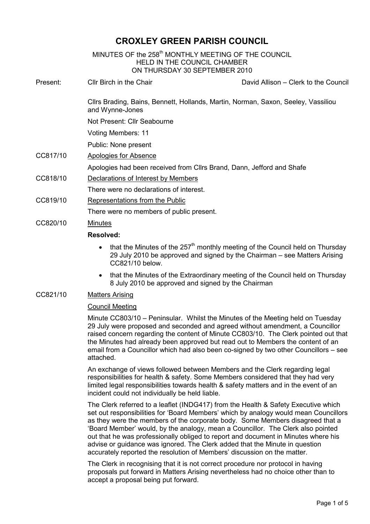## CROXLEY GREEN PARISH COUNCIL

| MINUTES OF the 258 <sup>th</sup> MONTHLY MEETING OF THE COUNCIL<br><b>HELD IN THE COUNCIL CHAMBER</b><br>ON THURSDAY 30 SEPTEMBER 2010 |                                                                                                                                     |                                      |
|----------------------------------------------------------------------------------------------------------------------------------------|-------------------------------------------------------------------------------------------------------------------------------------|--------------------------------------|
| Present:                                                                                                                               | Cllr Birch in the Chair                                                                                                             | David Allison – Clerk to the Council |
|                                                                                                                                        | Cllrs Brading, Bains, Bennett, Hollands, Martin, Norman, Saxon, Seeley, Vassiliou<br>and Wynne-Jones<br>Not Present: Cllr Seabourne |                                      |
|                                                                                                                                        |                                                                                                                                     |                                      |
|                                                                                                                                        | Voting Members: 11                                                                                                                  |                                      |
|                                                                                                                                        | Public: None present                                                                                                                |                                      |
| CC817/10                                                                                                                               | <b>Apologies for Absence</b>                                                                                                        |                                      |
|                                                                                                                                        | Apologies had been received from Cllrs Brand, Dann, Jefford and Shafe                                                               |                                      |
| CC818/10                                                                                                                               | Declarations of Interest by Members                                                                                                 |                                      |
|                                                                                                                                        | There were no declarations of interest.                                                                                             |                                      |
| CC819/10                                                                                                                               | Representations from the Public                                                                                                     |                                      |
|                                                                                                                                        | There were no members of public present.                                                                                            |                                      |
| CC820/10                                                                                                                               | <b>Minutes</b>                                                                                                                      |                                      |
|                                                                                                                                        | <b>Resolved:</b>                                                                                                                    |                                      |
|                                                                                                                                        |                                                                                                                                     |                                      |

- that the Minutes of the  $257<sup>th</sup>$  monthly meeting of the Council held on Thursday 29 July 2010 be approved and signed by the Chairman – see Matters Arising CC821/10 below.
- that the Minutes of the Extraordinary meeting of the Council held on Thursday 8 July 2010 be approved and signed by the Chairman

## CC821/10 Matters Arising

## Council Meeting

Minute CC803/10 – Peninsular. Whilst the Minutes of the Meeting held on Tuesday 29 July were proposed and seconded and agreed without amendment, a Councillor raised concern regarding the content of Minute CC803/10. The Clerk pointed out that the Minutes had already been approved but read out to Members the content of an email from a Councillor which had also been co-signed by two other Councillors – see attached.

An exchange of views followed between Members and the Clerk regarding legal responsibilities for health & safety. Some Members considered that they had very limited legal responsibilities towards health & safety matters and in the event of an incident could not individually be held liable.

The Clerk referred to a leaflet (INDG417) from the Health & Safety Executive which set out responsibilities for 'Board Members' which by analogy would mean Councillors as they were the members of the corporate body. Some Members disagreed that a 'Board Member' would, by the analogy, mean a Councillor. The Clerk also pointed out that he was professionally obliged to report and document in Minutes where his advise or guidance was ignored. The Clerk added that the Minute in question accurately reported the resolution of Members' discussion on the matter.

The Clerk in recognising that it is not correct procedure nor protocol in having proposals put forward in Matters Arising nevertheless had no choice other than to accept a proposal being put forward.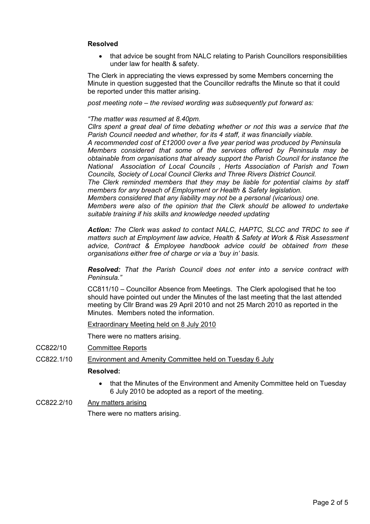## Resolved

• that advice be sought from NALC relating to Parish Councillors responsibilities under law for health & safety.

The Clerk in appreciating the views expressed by some Members concerning the Minute in question suggested that the Councillor redrafts the Minute so that it could be reported under this matter arising.

post meeting note – the revised wording was subsequently put forward as:

#### "The matter was resumed at 8.40pm.

Cllrs spent a great deal of time debating whether or not this was a service that the Parish Council needed and whether, for its 4 staff, it was financially viable. A recommended cost of £12000 over a five year period was produced by Peninsula Members considered that some of the services offered by Peninsula may be obtainable from organisations that already support the Parish Council for instance the National Association of Local Councils , Herts Association of Parish and Town Councils, Society of Local Council Clerks and Three Rivers District Council. The Clerk reminded members that they may be liable for potential claims by staff members for any breach of Employment or Health & Safety legislation.

Members considered that any liability may not be a personal (vicarious) one.

Members were also of the opinion that the Clerk should be allowed to undertake suitable training if his skills and knowledge needed updating

Action: The Clerk was asked to contact NALC, HAPTC, SLCC and TRDC to see if matters such at Employment law advice, Health & Safety at Work & Risk Assessment advice, Contract & Employee handbook advice could be obtained from these organisations either free of charge or via a 'buy in' basis.

Resolved: That the Parish Council does not enter into a service contract with Peninsula."

CC811/10 – Councillor Absence from Meetings. The Clerk apologised that he too should have pointed out under the Minutes of the last meeting that the last attended meeting by Cllr Brand was 29 April 2010 and not 25 March 2010 as reported in the Minutes. Members noted the information.

#### Extraordinary Meeting held on 8 July 2010

There were no matters arising.

- CC822/10 Committee Reports
- CC822.1/10 Environment and Amenity Committee held on Tuesday 6 July

#### Resolved:

- that the Minutes of the Environment and Amenity Committee held on Tuesday 6 July 2010 be adopted as a report of the meeting.
- CC822.2/10 Any matters arising There were no matters arising.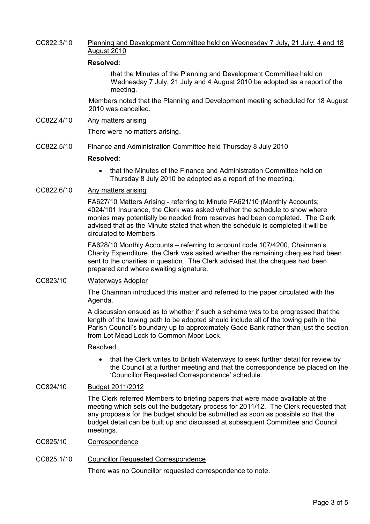### CC822.3/10 Planning and Development Committee held on Wednesday 7 July, 21 July, 4 and 18 August 2010

#### Resolved:

that the Minutes of the Planning and Development Committee held on Wednesday 7 July, 21 July and 4 August 2010 be adopted as a report of the meeting.

Members noted that the Planning and Development meeting scheduled for 18 August 2010 was cancelled.

# CC822.4/10 Any matters arising

There were no matters arising.

#### CC822.5/10 Finance and Administration Committee held Thursday 8 July 2010

#### Resolved:

• that the Minutes of the Finance and Administration Committee held on Thursday 8 July 2010 be adopted as a report of the meeting.

### CC822.6/10 Any matters arising

FA627/10 Matters Arising - referring to Minute FA621/10 (Monthly Accounts; 4024/101 Insurance, the Clerk was asked whether the schedule to show where monies may potentially be needed from reserves had been completed. The Clerk advised that as the Minute stated that when the schedule is completed it will be circulated to Members.

FA628/10 Monthly Accounts – referring to account code 107/4200, Chairman's Charity Expenditure, the Clerk was asked whether the remaining cheques had been sent to the charities in question. The Clerk advised that the cheques had been prepared and where awaiting signature.

### CC823/10 Waterways Adopter

The Chairman introduced this matter and referred to the paper circulated with the Agenda.

A discussion ensued as to whether if such a scheme was to be progressed that the length of the towing path to be adopted should include all of the towing path in the Parish Council's boundary up to approximately Gade Bank rather than just the section from Lot Mead Lock to Common Moor Lock

#### Resolved

• that the Clerk writes to British Waterways to seek further detail for review by the Council at a further meeting and that the correspondence be placed on the 'Councillor Requested Correspondence' schedule.

## CC824/10 Budget 2011/2012

The Clerk referred Members to briefing papers that were made available at the meeting which sets out the budgetary process for 2011/12. The Clerk requested that any proposals for the budget should be submitted as soon as possible so that the budget detail can be built up and discussed at subsequent Committee and Council meetings.

CC825/10 Correspondence

#### CC825.1/10 Councillor Requested Correspondence

There was no Councillor requested correspondence to note.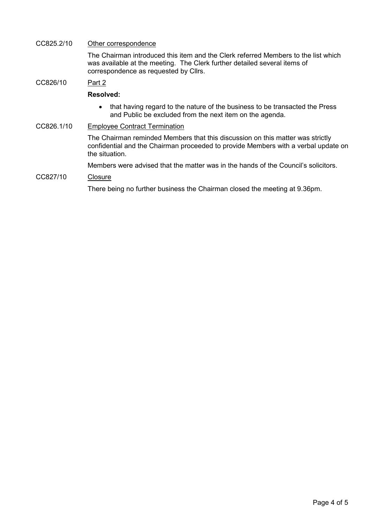## CC825.2/10 Other correspondence

The Chairman introduced this item and the Clerk referred Members to the list which was available at the meeting. The Clerk further detailed several items of correspondence as requested by Cllrs.

## CC826/10 Part 2

### Resolved:

• that having regard to the nature of the business to be transacted the Press and Public be excluded from the next item on the agenda.

## CC826.1/10 Employee Contract Termination

The Chairman reminded Members that this discussion on this matter was strictly confidential and the Chairman proceeded to provide Members with a verbal update on the situation.

Members were advised that the matter was in the hands of the Council's solicitors.

## CC827/10 Closure

There being no further business the Chairman closed the meeting at 9.36pm.